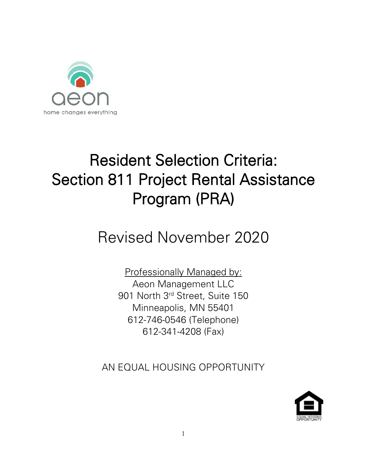

# Resident Selection Criteria: Section 811 Project Rental Assistance Program (PRA)

# Revised November 2020

Professionally Managed by: Aeon Management LLC 901 North 3rd Street, Suite 150 Minneapolis, MN 55401 612-746-0546 (Telephone) 612-341-4208 (Fax)

AN EQUAL HOUSING OPPORTUNITY

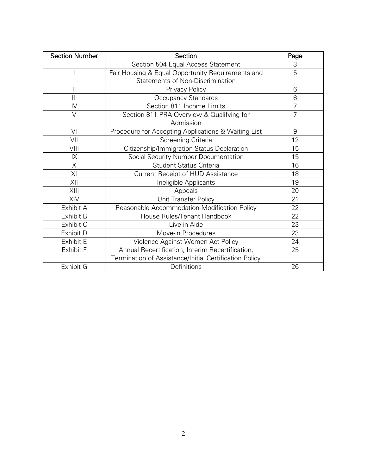| <b>Section Number</b> | Section                                                | Page           |
|-----------------------|--------------------------------------------------------|----------------|
|                       | Section 504 Equal Access Statement                     | 3              |
|                       | Fair Housing & Equal Opportunity Requirements and      | 5              |
|                       | Statements of Non-Discrimination                       |                |
| $\mathbf{I}$          | <b>Privacy Policy</b>                                  | 6              |
| Ш                     | Occupancy Standards                                    | 6              |
| IV                    | Section 811 Income Limits                              | $\overline{7}$ |
| $\vee$                | Section 811 PRA Overview & Qualifying for              | $\overline{7}$ |
|                       | Admission                                              |                |
| VI                    | Procedure for Accepting Applications & Waiting List    | 9              |
| VII                   | Screening Criteria                                     | 12             |
| VIII                  | Citizenship/Immigration Status Declaration             | 15             |
| IX                    | Social Security Number Documentation                   | 15             |
| X                     | <b>Student Status Criteria</b>                         | 16             |
| ΧI                    | Current Receipt of HUD Assistance                      | 18             |
| XII                   | Ineligible Applicants                                  | 19             |
| XIII                  | Appeals                                                | 20             |
| XIV                   | Unit Transfer Policy                                   | 21             |
| Exhibit A             | Reasonable Accommodation-Modification Policy           | 22             |
| Exhibit B             | House Rules/Tenant Handbook                            | 22             |
| Exhibit C             | Live-in Aide                                           | 23             |
| Exhibit D             | Move-in Procedures                                     | 23             |
| Exhibit E             | Violence Against Women Act Policy                      | 24             |
| Exhibit F             | Annual Recertification, Interim Recertification,       | 25             |
|                       | Termination of Assistance/Initial Certification Policy |                |
| Exhibit G             | Definitions                                            | 26             |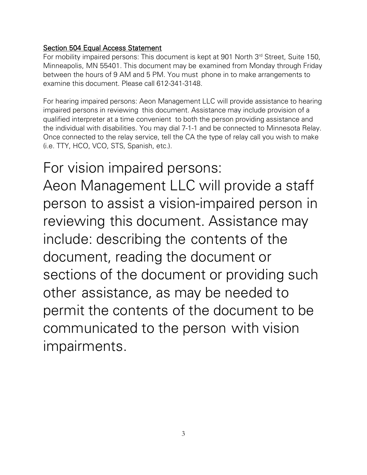# Section 504 Equal Access Statement

For mobility impaired persons: This document is kept at 901 North 3<sup>rd</sup> Street, Suite 150, Minneapolis, MN 55401. This document may be examined from Monday through Friday between the hours of 9 AM and 5 PM. You must phone in to make arrangements to examine this document. Please call 612-341-3148.

For hearing impaired persons: Aeon Management LLC will provide assistance to hearing impaired persons in reviewing this document. Assistance may include provision of a qualified interpreter at a time convenient to both the person providing assistance and the individual with disabilities. You may dial 7-1-1 and be connected to Minnesota Relay. Once connected to the relay service, tell the CA the type of relay call you wish to make (i.e. TTY, HCO, VCO, STS, Spanish, etc.).

For vision impaired persons: Aeon Management LLC will provide a staff person to assist a vision-impaired person in reviewing this document. Assistance may include: describing the contents of the document, reading the document or sections of the document or providing such other assistance, as may be needed to permit the contents of the document to be communicated to the person with vision impairments.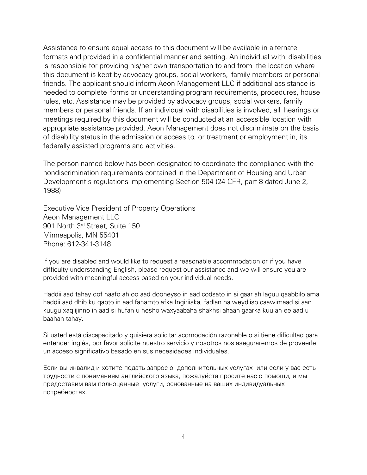Assistance to ensure equal access to this document will be available in alternate formats and provided in a confidential manner and setting. An individual with disabilities is responsible for providing his/her own transportation to and from the location where this document is kept by advocacy groups, social workers, family members or personal friends. The applicant should inform Aeon Management LLC if additional assistance is needed to complete forms or understanding program requirements, procedures, house rules, etc. Assistance may be provided by advocacy groups, social workers, family members or personal friends. If an individual with disabilities is involved, all hearings or meetings required by this document will be conducted at an accessible location with appropriate assistance provided. Aeon Management does not discriminate on the basis of disability status in the admission or access to, or treatment or employment in, its federally assisted programs and activities.

The person named below has been designated to coordinate the compliance with the nondiscrimination requirements contained in the Department of Housing and Urban Development's regulations implementing Section 504 (24 CFR, part 8 dated June 2, 1988).

Executive Vice President of Property Operations Aeon Management LLC 901 North 3rd Street, Suite 150 Minneapolis, MN 55401 Phone: 612-341-3148

If you are disabled and would like to request a reasonable accommodation or if you have difficulty understanding English, please request our assistance and we will ensure you are provided with meaningful access based on your individual needs.

Haddii aad tahay qof naafo ah oo aad dooneyso in aad codsato in si gaar ah laguu qaabbilo ama haddii aad dhib ku qabto in aad fahamto afka Ingiriiska, fadlan na weydiiso caawimaad si aan kuugu xaqiijinno in aad si hufan u hesho waxyaabaha shakhsi ahaan gaarka kuu ah ee aad u baahan tahay.

Si usted está discapacitado y quisiera solicitar acomodación razonable o si tiene dificultad para entender inglés, por favor solicite nuestro servicio y nosotros nos aseguraremos de proveerle un acceso significativo basado en sus necesidades individuales.

Если вы инвалид и хотите подать запрос о дополнительных услугах или если у вас есть трудности с пониманием английского языка, пожалуйста просите нас о помощи, и мы предоставим вам полноценные услуги, основанные на ваших индивидуальных потребностях.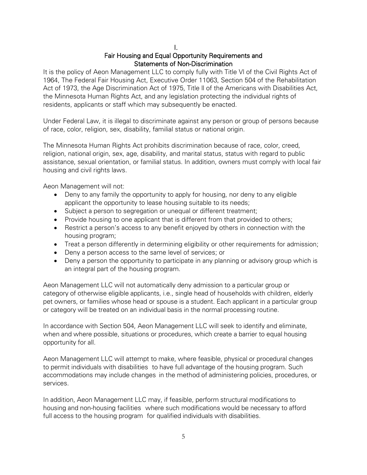I.

# Fair Housing and Equal Opportunity Requirements and Statements of Non-Discrimination

It is the policy of Aeon Management LLC to comply fully with Title Vl of the Civil Rights Act of 1964, The Federal Fair Housing Act, Executive Order 11063, Section 504 of the Rehabilitation Act of 1973, the Age Discrimination Act of 1975, Title ll of the Americans with Disabilities Act, the Minnesota Human Rights Act, and any legislation protecting the individual rights of residents, applicants or staff which may subsequently be enacted.

Under Federal Law, it is illegal to discriminate against any person or group of persons because of race, color, religion, sex, disability, familial status or national origin.

The Minnesota Human Rights Act prohibits discrimination because of race, color, creed, religion, national origin, sex, age, disability, and marital status, status with regard to public assistance, sexual orientation, or familial status. In addition, owners must comply with local fair housing and civil rights laws.

Aeon Management will not:

- Deny to any family the opportunity to apply for housing, nor deny to any eligible applicant the opportunity to lease housing suitable to its needs;
- Subject a person to segregation or unequal or different treatment;
- Provide housing to one applicant that is different from that provided to others;
- Restrict a person's access to any benefit enjoyed by others in connection with the housing program;
- Treat a person differently in determining eligibility or other requirements for admission;
- Deny a person access to the same level of services; or
- Deny a person the opportunity to participate in any planning or advisory group which is an integral part of the housing program.

Aeon Management LLC will not automatically deny admission to a particular group or category of otherwise eligible applicants, i.e., single head of households with children, elderly pet owners, or families whose head or spouse is a student. Each applicant in a particular group or category will be treated on an individual basis in the normal processing routine.

In accordance with Section 504, Aeon Management LLC will seek to identify and eliminate, when and where possible, situations or procedures, which create a barrier to equal housing opportunity for all.

Aeon Management LLC will attempt to make, where feasible, physical or procedural changes to permit individuals with disabilities to have full advantage of the housing program. Such accommodations may include changes in the method of administering policies, procedures, or services.

In addition, Aeon Management LLC may, if feasible, perform structural modifications to housing and non-housing facilities where such modifications would be necessary to afford full access to the housing program for qualified individuals with disabilities.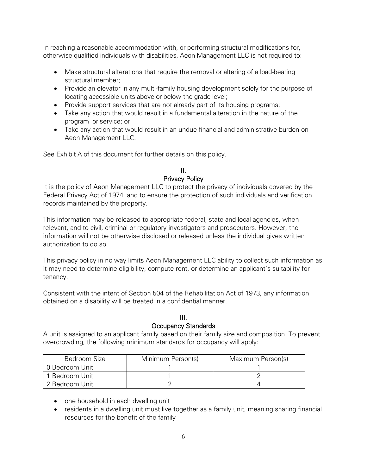In reaching a reasonable accommodation with, or performing structural modifications for, otherwise qualified individuals with disabilities, Aeon Management LLC is not required to:

- Make structural alterations that require the removal or altering of a load-bearing structural member;
- Provide an elevator in any multi-family housing development solely for the purpose of locating accessible units above or below the grade level;
- Provide support services that are not already part of its housing programs;
- Take any action that would result in a fundamental alteration in the nature of the program or service; or
- Take any action that would result in an undue financial and administrative burden on Aeon Management LLC.

See Exhibit A of this document for further details on this policy.

#### II. Privacy Policy

It is the policy of Aeon Management LLC to protect the privacy of individuals covered by the Federal Privacy Act of 1974, and to ensure the protection of such individuals and verification records maintained by the property.

This information may be released to appropriate federal, state and local agencies, when relevant, and to civil, criminal or regulatory investigators and prosecutors. However, the information will not be otherwise disclosed or released unless the individual gives written authorization to do so.

This privacy policy in no way limits Aeon Management LLC ability to collect such information as it may need to determine eligibility, compute rent, or determine an applicant's suitability for tenancy.

Consistent with the intent of Section 504 of the Rehabilitation Act of 1973, any information obtained on a disability will be treated in a confidential manner.

#### III. Occupancy Standards

A unit is assigned to an applicant family based on their family size and composition. To prevent overcrowding, the following minimum standards for occupancy will apply:

| Bedroom Size   | Minimum Person(s) | Maximum Person(s) |
|----------------|-------------------|-------------------|
| O Bedroom Unit |                   |                   |
| 1 Bedroom Unit |                   |                   |
| 2 Bedroom Unit |                   |                   |

- one household in each dwelling unit
- residents in a dwelling unit must live together as a family unit, meaning sharing financial resources for the benefit of the family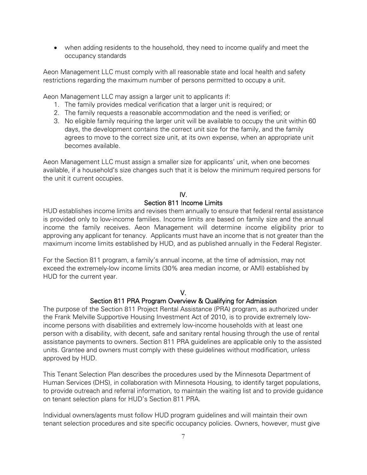• when adding residents to the household, they need to income qualify and meet the occupancy standards

Aeon Management LLC must comply with all reasonable state and local health and safety restrictions regarding the maximum number of persons permitted to occupy a unit.

Aeon Management LLC may assign a larger unit to applicants if:

- 1. The family provides medical verification that a larger unit is required; or
- 2. The family requests a reasonable accommodation and the need is verified; or
- 3. No eligible family requiring the larger unit will be available to occupy the unit within 60 days, the development contains the correct unit size for the family, and the family agrees to move to the correct size unit, at its own expense, when an appropriate unit becomes available.

Aeon Management LLC must assign a smaller size for applicants' unit, when one becomes available, if a household's size changes such that it is below the minimum required persons for the unit it current occupies.

# IV.

#### Section 811 Income Limits

HUD establishes income limits and revises them annually to ensure that federal rental assistance is provided only to low-income families. Income limits are based on family size and the annual income the family receives. Aeon Management will determine income eligibility prior to approving any applicant for tenancy. Applicants must have an income that is not greater than the maximum income limits established by HUD, and as published annually in the Federal Register.

For the Section 811 program, a family's annual income, at the time of admission, may not exceed the extremely-low income limits (30% area median income, or AMI) established by HUD for the current year.

# V.

# Section 811 PRA Program Overview & Qualifying for Admission

The purpose of the Section 811 Project Rental Assistance (PRA) program, as authorized under the Frank Melville Supportive Housing Investment Act of 2010, is to provide extremely lowincome persons with disabilities and extremely low-income households with at least one person with a disability, with decent, safe and sanitary rental housing through the use of rental assistance payments to owners. Section 811 PRA guidelines are applicable only to the assisted units. Grantee and owners must comply with these guidelines without modification, unless approved by HUD.

This Tenant Selection Plan describes the procedures used by the Minnesota Department of Human Services (DHS), in collaboration with Minnesota Housing, to identify target populations, to provide outreach and referral information, to maintain the waiting list and to provide guidance on tenant selection plans for HUD's Section 811 PRA.

Individual owners/agents must follow HUD program guidelines and will maintain their own tenant selection procedures and site specific occupancy policies. Owners, however, must give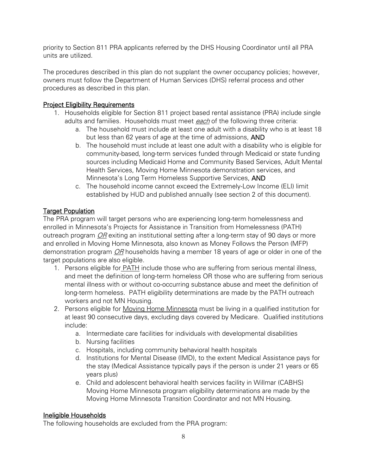priority to Section 811 PRA applicants referred by the DHS Housing Coordinator until all PRA units are utilized.

The procedures described in this plan do not supplant the owner occupancy policies; however, owners must follow the Department of Human Services (DHS) referral process and other procedures as described in this plan.

## **Project Eligibility Requirements**

- 1. Households eligible for Section 811 project based rental assistance (PRA) include single adults and families. Households must meet each of the following three criteria:
	- a. The household must include at least one adult with a disability who is at least 18 but less than 62 years of age at the time of admissions, AND
	- b. The household must include at least one adult with a disability who is eligible for community-based, long-term services funded through Medicaid or state funding sources including Medicaid Home and Community Based Services, Adult Mental Health Services, Moving Home Minnesota demonstration services, and Minnesota's Long Term Homeless Supportive Services, AND
	- c. The household income cannot exceed the Extremely-Low Income (ELI) limit established by HUD and published annually (see section 2 of this document).

### Target Population

The PRA program will target persons who are experiencing long-term homelessness and enrolled in Minnesota's Projects for Assistance in Transition from Homelessness (PATH) outreach program OR exiting an institutional setting after a long-term stay of 90 days or more and enrolled in Moving Home Minnesota, also known as Money Follows the Person (MFP) demonstration program *OR* households having a member 18 years of age or older in one of the target populations are also eligible.

- 1. Persons eligible for PATH include those who are suffering from serious mental illness, and meet the definition of long-term homeless OR those who are suffering from serious mental illness with or without co-occurring substance abuse and meet the definition of long-term homeless. PATH eligibility determinations are made by the PATH outreach workers and not MN Housing.
- 2. Persons eligible for Moving Home Minnesota must be living in a qualified institution for at least 90 consecutive days, excluding days covered by Medicare. Qualified institutions include:
	- a. Intermediate care facilities for individuals with developmental disabilities
	- b. Nursing facilities
	- c. Hospitals, including community behavioral health hospitals
	- d. Institutions for Mental Disease (IMD), to the extent Medical Assistance pays for the stay (Medical Assistance typically pays if the person is under 21 years or 65 years plus)
	- e. Child and adolescent behavioral health services facility in Willmar (CABHS) Moving Home Minnesota program eligibility determinations are made by the Moving Home Minnesota Transition Coordinator and not MN Housing.

#### Ineligible Households

The following households are excluded from the PRA program: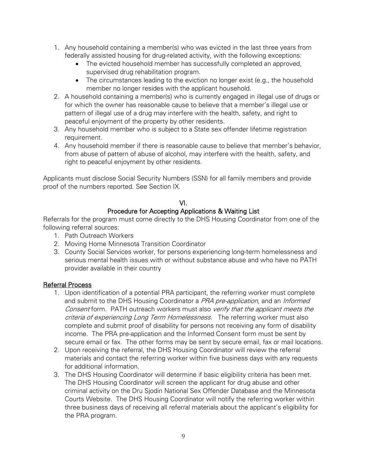- 1. Any household containing a member(s) who was evicted in the last three years from federally assisted housing for drug-related activity, with the following exceptions:
	- The evicted household member has successfully completed an approved, supervised drug rehabilitation program.
	- The circumstances leading to the eviction no longer exist (e.g., the household member no longer resides with the applicant household.
- 2. A household containing a member(s) who is currently engaged in illegal use of drugs or for which the owner has reasonable cause to believe that a member's illegal use or pattern of illegal use of a drug may interfere with the health, safety, and right to peaceful enjoyment of the property by other residents.
- 3. Any household member who is subject to a State sex offender lifetime registration requirement.
- 4. Any household member if there is reasonable cause to believe that member's behavior, from abuse of pattern of abuse of alcohol, may interfere with the health, safety, and right to peaceful enjoyment by other residents.

Applicants must disclose Social Security Numbers (SSN) for all family members and provide proof of the numbers reported. See Section IX.

# VI.

# Procedure for Accepting Applications & Waiting List

Referrals for the program must come directly to the DHS Housing Coordinator from one of the following referral sources:

- 1. Path Outreach Workers
- 2. Moving Home Minnesota Transition Coordinator
- 3. County Social Services worker, for persons experiencing long-term homelessness and serious mental health issues with or without substance abuse and who have no PATH provider available in their country

# Referral Process

- 1. Upon identification of a potential PRA participant, the referring worker must complete and submit to the DHS Housing Coordinator a PRA pre-application, and an Informed Consent form. PATH outreach workers must also verify that the applicant meets the criteria of experiencing Long Term Homelessness. The referring worker must also complete and submit proof of disability for persons not receiving any form of disability income. The PRA pre-application and the Informed Consent form must be sent by secure email or fax. The other forms may be sent by secure email, fax or mail locations.
- 2. Upon receiving the referral, the DHS Housing Coordinator will review the referral materials and contact the referring worker within five business days with any requests for additional information.
- 3. The DHS Housing Coordinator will determine if basic eligibility criteria has been met. The DHS Housing Coordinator will screen the applicant for drug abuse and other criminal activity on the Dru Sjodin National Sex Offender Database and the Minnesota Courts Website. The DHS Housing Coordinator will notify the referring worker within three business days of receiving all referral materials about the applicant's eligibility for the PRA program.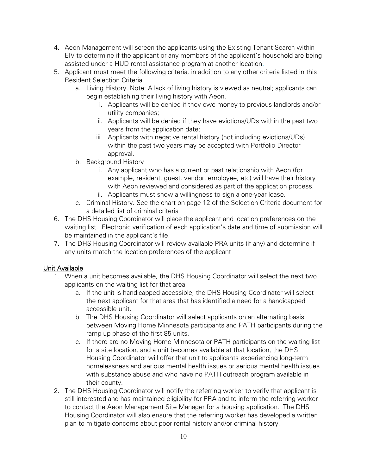- 4. Aeon Management will screen the applicants using the Existing Tenant Search within EIV to determine if the applicant or any members of the applicant's household are being assisted under a HUD rental assistance program at another location.
- 5. Applicant must meet the following criteria, in addition to any other criteria listed in this Resident Selection Criteria.
	- a. Living History. Note: A lack of living history is viewed as neutral; applicants can begin establishing their living history with Aeon.
		- i. Applicants will be denied if they owe money to previous landlords and/or utility companies;
		- ii. Applicants will be denied if they have evictions/UDs within the past two years from the application date;
		- iii. Applicants with negative rental history (not including evictions/UDs) within the past two years may be accepted with Portfolio Director approval.
	- b. Background History
		- i. Any applicant who has a current or past relationship with Aeon (for example, resident, guest, vendor, employee, etc) will have their history with Aeon reviewed and considered as part of the application process.
		- ii. Applicants must show a willingness to sign a one-year lease.
	- c. Criminal History. See the chart on page 12 of the Selection Criteria document for a detailed list of criminal criteria
- 6. The DHS Housing Coordinator will place the applicant and location preferences on the waiting list. Electronic verification of each application's date and time of submission will be maintained in the applicant's file.
- 7. The DHS Housing Coordinator will review available PRA units (if any) and determine if any units match the location preferences of the applicant

# Unit Available

- 1. When a unit becomes available, the DHS Housing Coordinator will select the next two applicants on the waiting list for that area.
	- a. If the unit is handicapped accessible, the DHS Housing Coordinator will select the next applicant for that area that has identified a need for a handicapped accessible unit.
	- b. The DHS Housing Coordinator will select applicants on an alternating basis between Moving Home Minnesota participants and PATH participants during the ramp up phase of the first 85 units.
	- c. If there are no Moving Home Minnesota or PATH participants on the waiting list for a site location, and a unit becomes available at that location, the DHS Housing Coordinator will offer that unit to applicants experiencing long-term homelessness and serious mental health issues or serious mental health issues with substance abuse and who have no PATH outreach program available in their county.
- 2. The DHS Housing Coordinator will notify the referring worker to verify that applicant is still interested and has maintained eligibility for PRA and to inform the referring worker to contact the Aeon Management Site Manager for a housing application. The DHS Housing Coordinator will also ensure that the referring worker has developed a written plan to mitigate concerns about poor rental history and/or criminal history.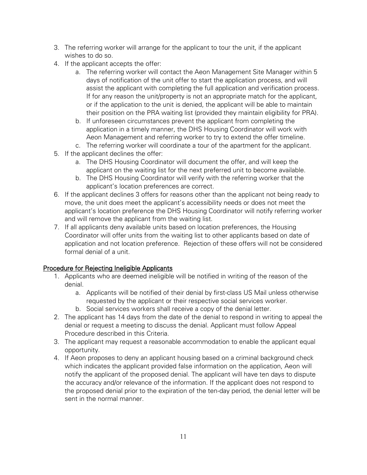- 3. The referring worker will arrange for the applicant to tour the unit, if the applicant wishes to do so.
- 4. If the applicant accepts the offer:
	- a. The referring worker will contact the Aeon Management Site Manager within 5 days of notification of the unit offer to start the application process, and will assist the applicant with completing the full application and verification process. If for any reason the unit/property is not an appropriate match for the applicant, or if the application to the unit is denied, the applicant will be able to maintain their position on the PRA waiting list (provided they maintain eligibility for PRA).
	- b. If unforeseen circumstances prevent the applicant from completing the application in a timely manner, the DHS Housing Coordinator will work with Aeon Management and referring worker to try to extend the offer timeline.
	- c. The referring worker will coordinate a tour of the apartment for the applicant.
- 5. If the applicant declines the offer:
	- a. The DHS Housing Coordinator will document the offer, and will keep the applicant on the waiting list for the next preferred unit to become available.
	- b. The DHS Housing Coordinator will verify with the referring worker that the applicant's location preferences are correct.
- 6. If the applicant declines 3 offers for reasons other than the applicant not being ready to move, the unit does meet the applicant's accessibility needs or does not meet the applicant's location preference the DHS Housing Coordinator will notify referring worker and will remove the applicant from the waiting list.
- 7. If all applicants deny available units based on location preferences, the Housing Coordinator will offer units from the waiting list to other applicants based on date of application and not location preference. Rejection of these offers will not be considered formal denial of a unit.

# Procedure for Rejecting Ineligible Applicants

- 1. Applicants who are deemed ineligible will be notified in writing of the reason of the denial.
	- a. Applicants will be notified of their denial by first-class US Mail unless otherwise requested by the applicant or their respective social services worker.
	- b. Social services workers shall receive a copy of the denial letter.
- 2. The applicant has 14 days from the date of the denial to respond in writing to appeal the denial or request a meeting to discuss the denial. Applicant must follow Appeal Procedure described in this Criteria.
- 3. The applicant may request a reasonable accommodation to enable the applicant equal opportunity.
- 4. If Aeon proposes to deny an applicant housing based on a criminal background check which indicates the applicant provided false information on the application, Aeon will notify the applicant of the proposed denial. The applicant will have ten days to dispute the accuracy and/or relevance of the information. If the applicant does not respond to the proposed denial prior to the expiration of the ten-day period, the denial letter will be sent in the normal manner.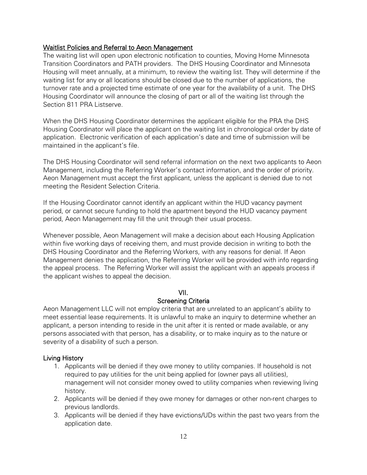#### Waitlist Policies and Referral to Aeon Management

The waiting list will open upon electronic notification to counties, Moving Home Minnesota Transition Coordinators and PATH providers. The DHS Housing Coordinator and Minnesota Housing will meet annually, at a minimum, to review the waiting list. They will determine if the waiting list for any or all locations should be closed due to the number of applications, the turnover rate and a projected time estimate of one year for the availability of a unit. The DHS Housing Coordinator will announce the closing of part or all of the waiting list through the Section 811 PRA Listserve.

When the DHS Housing Coordinator determines the applicant eligible for the PRA the DHS Housing Coordinator will place the applicant on the waiting list in chronological order by date of application. Electronic verification of each application's date and time of submission will be maintained in the applicant's file.

The DHS Housing Coordinator will send referral information on the next two applicants to Aeon Management, including the Referring Worker's contact information, and the order of priority. Aeon Management must accept the first applicant, unless the applicant is denied due to not meeting the Resident Selection Criteria.

If the Housing Coordinator cannot identify an applicant within the HUD vacancy payment period, or cannot secure funding to hold the apartment beyond the HUD vacancy payment period, Aeon Management may fill the unit through their usual process.

Whenever possible, Aeon Management will make a decision about each Housing Application within five working days of receiving them, and must provide decision in writing to both the DHS Housing Coordinator and the Referring Workers, with any reasons for denial. If Aeon Management denies the application, the Referring Worker will be provided with info regarding the appeal process. The Referring Worker will assist the applicant with an appeals process if the applicant wishes to appeal the decision.

#### VII.

#### Screening Criteria

Aeon Management LLC will not employ criteria that are unrelated to an applicant's ability to meet essential lease requirements. It is unlawful to make an inquiry to determine whether an applicant, a person intending to reside in the unit after it is rented or made available, or any persons associated with that person, has a disability, or to make inquiry as to the nature or severity of a disability of such a person.

#### Living History

- 1. Applicants will be denied if they owe money to utility companies. If household is not required to pay utilities for the unit being applied for (owner pays all utilities), management will not consider money owed to utility companies when reviewing living history.
- 2. Applicants will be denied if they owe money for damages or other non-rent charges to previous landlords.
- 3. Applicants will be denied if they have evictions/UDs within the past two years from the application date.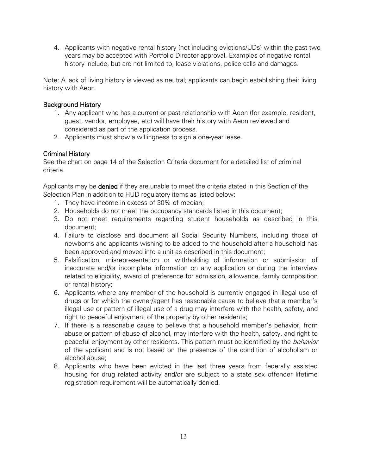4. Applicants with negative rental history (not including evictions/UDs) within the past two years may be accepted with Portfolio Director approval. Examples of negative rental history include, but are not limited to, lease violations, police calls and damages.

Note: A lack of living history is viewed as neutral; applicants can begin establishing their living history with Aeon.

## Background History

- 1. Any applicant who has a current or past relationship with Aeon (for example, resident, guest, vendor, employee, etc) will have their history with Aeon reviewed and considered as part of the application process.
- 2. Applicants must show a willingness to sign a one-year lease.

# Criminal History

See the chart on page 14 of the Selection Criteria document for a detailed list of criminal criteria.

Applicants may be **denied** if they are unable to meet the criteria stated in this Section of the Selection Plan in addition to HUD regulatory items as listed below:

- 1. They have income in excess of 30% of median;
- 2. Households do not meet the occupancy standards listed in this document;
- 3. Do not meet requirements regarding student households as described in this document;
- 4. Failure to disclose and document all Social Security Numbers, including those of newborns and applicants wishing to be added to the household after a household has been approved and moved into a unit as described in this document;
- 5. Falsification, misrepresentation or withholding of information or submission of inaccurate and/or incomplete information on any application or during the interview related to eligibility, award of preference for admission, allowance, family composition or rental history;
- 6. Applicants where any member of the household is currently engaged in illegal use of drugs or for which the owner/agent has reasonable cause to believe that a member's illegal use or pattern of illegal use of a drug may interfere with the health, safety, and right to peaceful enjoyment of the property by other residents;
- 7. If there is a reasonable cause to believe that a household member's behavior, from abuse or pattern of abuse of alcohol, may interfere with the health, safety, and right to peaceful enjoyment by other residents. This pattern must be identified by the *behavior* of the applicant and is not based on the presence of the condition of alcoholism or alcohol abuse;
- 8. Applicants who have been evicted in the last three years from federally assisted housing for drug related activity and/or are subject to a state sex offender lifetime registration requirement will be automatically denied.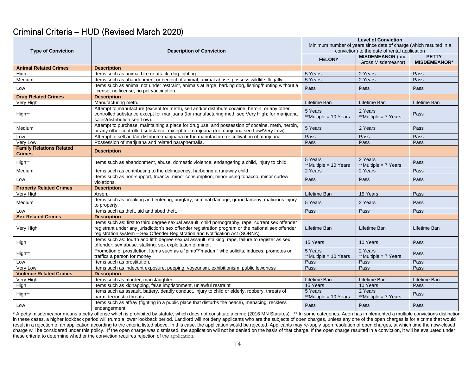# Criminal Criteria – HUD (Revised March 2020)

|                                                  | <b>Description of Conviction</b>                                                                                                                                                                                                                                                          | <b>Level of Conviction</b>                                        |                                               |                                     |
|--------------------------------------------------|-------------------------------------------------------------------------------------------------------------------------------------------------------------------------------------------------------------------------------------------------------------------------------------------|-------------------------------------------------------------------|-----------------------------------------------|-------------------------------------|
|                                                  |                                                                                                                                                                                                                                                                                           | Minimum number of years since date of charge (which resulted in a |                                               |                                     |
| <b>Type of Conviction</b>                        |                                                                                                                                                                                                                                                                                           | conviction) to the date of rental application                     |                                               |                                     |
|                                                  |                                                                                                                                                                                                                                                                                           | <b>FELONY</b>                                                     | <b>MISDEMEANOR (and</b><br>Gross Misdemeanor) | <b>PETTY</b><br><b>MISDEMEANOR*</b> |
| <b>Animal Related Crimes</b>                     | <b>Description</b>                                                                                                                                                                                                                                                                        |                                                                   |                                               |                                     |
| High                                             | Items such as animal bite or attack, dog fighting.                                                                                                                                                                                                                                        | 5 Years                                                           | 2 Years                                       | Pass                                |
| Medium                                           | Items such as abandonment or neglect of animal, animal abuse, possess wildlife illegally.                                                                                                                                                                                                 | 5 Years                                                           | 2 Years                                       | Pass                                |
|                                                  | Items such as animal not under restraint, animals at large, barking dog, fishing/hunting without a                                                                                                                                                                                        |                                                                   |                                               |                                     |
| Low                                              | license, no license, no pet vaccination.                                                                                                                                                                                                                                                  | Pass                                                              | Pass                                          | Pass                                |
| <b>Drug Related Crimes</b>                       | <b>Description</b>                                                                                                                                                                                                                                                                        |                                                                   |                                               |                                     |
| Very High                                        | Manufacturing meth.                                                                                                                                                                                                                                                                       | Lifetime Ban                                                      | Lifetime Ban                                  | Lifetime Ban                        |
| High**                                           | Attempt to manufacture (except for meth), sell and/or distribute cocaine, heroin, or any other<br>controlled substance except for marijuana (for manufacturing meth see Very High; for marijuana<br>sales/distribution see Low).                                                          | 5 Years<br>**Multiple = 10 Years                                  | 2 Years<br>**Multiple = 7 Years               | Pass                                |
| Medium                                           | Attempt to purchase, maintaining a place for drug use, and possession of cocaine, meth, heroin,<br>or any other controlled substance, except for marijuana (for marijuana see Low/Very Low).                                                                                              | 5 Years                                                           | 2 Years                                       | Pass                                |
| Low                                              | Attempt to sell and/or distribute marijuana or the manufacture or cultivation of marijuana.                                                                                                                                                                                               | Pass                                                              | Pass                                          | Pass                                |
| Very Low                                         | Possession of marijuana and related paraphernalia.                                                                                                                                                                                                                                        | Pass                                                              | Pass                                          | Pass                                |
| <b>Family Relations Related</b><br><b>Crimes</b> | <b>Description</b>                                                                                                                                                                                                                                                                        |                                                                   |                                               |                                     |
| High**                                           | Items such as abandonment, abuse, domestic violence, endangering a child, injury to child.                                                                                                                                                                                                | 5 Years<br>**Multiple = 10 Years                                  | 2 Years<br>**Multiple = 7 Years               | Pass                                |
| Medium                                           | Items such as contributing to the delinquency, harboring a runaway child.                                                                                                                                                                                                                 | 2 Years                                                           | 2 Years                                       | Pass                                |
| Low                                              | Items such as non-support, truancy, minor consumption, minor using tobacco, minor curfew<br>violations.                                                                                                                                                                                   | Pass                                                              | Pass                                          | Pass                                |
| <b>Property Related Crimes</b>                   | <b>Description</b>                                                                                                                                                                                                                                                                        |                                                                   |                                               |                                     |
| Very High                                        | Arson.                                                                                                                                                                                                                                                                                    | Lifetime Ban                                                      | 15 Years                                      | Pass                                |
| Medium                                           | Items such as breaking and entering, burglary, criminal damage, grand larceny, malicious injury<br>to property.                                                                                                                                                                           | 5 Years                                                           | 2 Years                                       | Pass                                |
| Low                                              | Items such as theft, aid and abed theft.                                                                                                                                                                                                                                                  | Pass                                                              | Pass                                          | Pass                                |
| <b>Sex Related Crimes</b>                        | <b>Description</b>                                                                                                                                                                                                                                                                        |                                                                   |                                               |                                     |
| Very High                                        | Items such as: first to third degree sexual assault, child pornography, rape, current sex offender<br>registrant under any jurisdiction's sex offender registration program or the national sex offender<br>registration system - Sex Offender Registration and Notification Act (SORNA). | Lifetime Ban                                                      | Lifetime Ban                                  | Lifetime Ban                        |
| High                                             | Items such as: fourth and fifth degree sexual assault, stalking, rape, failure to register as sex<br>offender, sex abuse, stalking, sex exploitation of minor.                                                                                                                            | 15 Years                                                          | 10 Years                                      | Pass                                |
| High**                                           | Promotion of prostitution. Items such as a "pimp"/"madam" who solicits, induces, promotes or<br>traffics a person for money.                                                                                                                                                              | 5 Years<br>**Multiple = 10 Years                                  | 2 Years<br>**Multiple = 7 Years               | Pass                                |
| Low                                              | Items such as prostitution.                                                                                                                                                                                                                                                               | Pass                                                              | Pass                                          | Pass                                |
| Very Low                                         | Items such as indecent exposure, peeping, voyeurism, exhibitionism, public lewdness                                                                                                                                                                                                       | Pass                                                              | Pass                                          | Pass                                |
| <b>Violence Related Crimes</b>                   | <b>Description</b>                                                                                                                                                                                                                                                                        |                                                                   |                                               |                                     |
| Very High                                        | Items such as murder, manslaughter.                                                                                                                                                                                                                                                       | Lifetime Ban                                                      | Lifetime Ban                                  | Lifetime Ban                        |
| High                                             | Items such as kidnapping, false imprisonment, unlawful restraint.                                                                                                                                                                                                                         | 15 Years                                                          | 10 Years                                      | Pass                                |
| High**                                           | Items such as assault, battery, deadly conduct, injury to child or elderly, robbery, threats of<br>harm, terroristic threats.                                                                                                                                                             | 5 Years<br>**Multiple = 10 Years                                  | 2 Years<br>**Multiple = 7 Years               | Pass                                |
| Low                                              | Items such as affray (fighting in a public place that disturbs the peace), menacing, reckless<br>endangerment.                                                                                                                                                                            | Pass                                                              | Pass                                          | Pass                                |

\* A petty misdemeanor means a petty offense which is prohibited by statute, which does not constitute a crime (2016 MN Statutes). \*\* In some categories, Aeon has implemented a multiple convictions distinction; in these cases, a higher lookback period will trump a lower lookback period. Landlord will not deny applicants who are the subjects of open charges, unless any one of the open charges is for a crime that would result in a rejection of an application according to the criteria listed above. In this case, the application would be rejected. Applicants may re-apply upon resolution of open charges, at which time the now-closed charge will be considered under this policy. If the open charge was dismissed, the application will not be denied on the basis of that charge. If the open charge resulted in a conviction, it will be evaluated under these criteria to determine whether the conviction requires rejection of the application.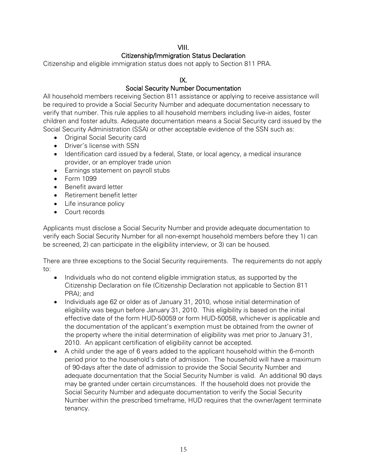# VIII.

# Citizenship/Immigration Status Declaration

Citizenship and eligible immigration status does not apply to Section 811 PRA.

# IX.

# Social Security Number Documentation

All household members receiving Section 811 assistance or applying to receive assistance will be required to provide a Social Security Number and adequate documentation necessary to verify that number. This rule applies to all household members including live-in aides, foster children and foster adults. Adequate documentation means a Social Security card issued by the Social Security Administration (SSA) or other acceptable evidence of the SSN such as:

- Original Social Security card
- Driver's license with SSN
- Identification card issued by a federal, State, or local agency, a medical insurance provider, or an employer trade union
- Earnings statement on payroll stubs
- Form 1099
- Benefit award letter
- Retirement benefit letter
- Life insurance policy
- Court records

Applicants must disclose a Social Security Number and provide adequate documentation to verify each Social Security Number for all non-exempt household members before they 1) can be screened, 2) can participate in the eligibility interview, or 3) can be housed.

There are three exceptions to the Social Security requirements. The requirements do not apply to:

- Individuals who do not contend eligible immigration status, as supported by the Citizenship Declaration on file (Citizenship Declaration not applicable to Section 811 PRA); and
- Individuals age 62 or older as of January 31, 2010, whose initial determination of eligibility was begun before January 31, 2010. This eligibility is based on the initial effective date of the form HUD-50059 or form HUD-50058, whichever is applicable and the documentation of the applicant's exemption must be obtained from the owner of the property where the initial determination of eligibility was met prior to January 31, 2010. An applicant certification of eligibility cannot be accepted.
- A child under the age of 6 years added to the applicant household within the 6-month period prior to the household's date of admission. The household will have a maximum of 90-days after the date of admission to provide the Social Security Number and adequate documentation that the Social Security Number is valid. An additional 90 days may be granted under certain circumstances. If the household does not provide the Social Security Number and adequate documentation to verify the Social Security Number within the prescribed timeframe, HUD requires that the owner/agent terminate tenancy.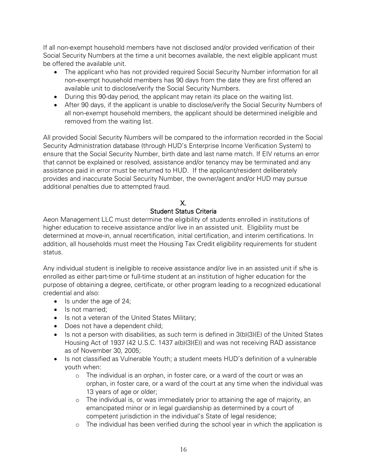If all non-exempt household members have not disclosed and/or provided verification of their Social Security Numbers at the time a unit becomes available, the next eligible applicant must be offered the available unit.

- The applicant who has not provided required Social Security Number information for all non-exempt household members has 90 days from the date they are first offered an available unit to disclose/verify the Social Security Numbers.
- During this 90-day period, the applicant may retain its place on the waiting list.
- After 90 days, if the applicant is unable to disclose/verify the Social Security Numbers of all non-exempt household members, the applicant should be determined ineligible and removed from the waiting list.

All provided Social Security Numbers will be compared to the information recorded in the Social Security Administration database (through HUD's Enterprise Income Verification System) to ensure that the Social Security Number, birth date and last name match. If EIV returns an error that cannot be explained or resolved, assistance and/or tenancy may be terminated and any assistance paid in error must be returned to HUD. If the applicant/resident deliberately provides and inaccurate Social Security Number, the owner/agent and/or HUD may pursue additional penalties due to attempted fraud.

# X.

# Student Status Criteria

Aeon Management LLC must determine the eligibility of students enrolled in institutions of higher education to receive assistance and/or live in an assisted unit. Eligibility must be determined at move-in, annual recertification, initial certification, and interim certifications. In addition, all households must meet the Housing Tax Credit eligibility requirements for student status.

Any individual student is ineligible to receive assistance and/or live in an assisted unit if s/he is enrolled as either part-time or full-time student at an institution of higher education for the purpose of obtaining a degree, certificate, or other program leading to a recognized educational credential and also:

- Is under the age of 24;
- Is not married;
- Is not a veteran of the United States Military;
- Does not have a dependent child;
- Is not a person with disabilities, as such term is defined in 3(b)(3)(E) of the United States Housing Act of 1937 (42 U.S.C. 1437 a(b)(3)(E)) and was not receiving RAD assistance as of November 30, 2005;
- Is not classified as Vulnerable Youth; a student meets HUD's definition of a vulnerable youth when:
	- o The individual is an orphan, in foster care, or a ward of the court or was an orphan, in foster care, or a ward of the court at any time when the individual was 13 years of age or older;
	- o The individual is, or was immediately prior to attaining the age of majority, an emancipated minor or in legal guardianship as determined by a court of competent jurisdiction in the individual's State of legal residence;
	- o The individual has been verified during the school year in which the application is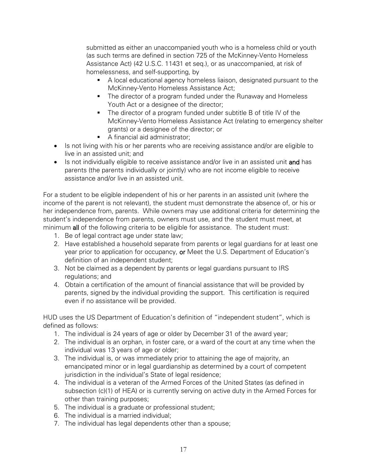submitted as either an unaccompanied youth who is a homeless child or youth (as such terms are defined in section 725 of the McKinney-Vento Homeless Assistance Act) (42 U.S.C. 11431 et seq.), or as unaccompanied, at risk of homelessness, and self-supporting, by

- A local educational agency homeless liaison, designated pursuant to the McKinney-Vento Homeless Assistance Act;
- The director of a program funded under the Runaway and Homeless Youth Act or a designee of the director;
- The director of a program funded under subtitle B of title IV of the McKinney-Vento Homeless Assistance Act (relating to emergency shelter grants) or a designee of the director; or
- A financial aid administrator;
- Is not living with his or her parents who are receiving assistance and/or are eligible to live in an assisted unit; and
- Is not individually eligible to receive assistance and/or live in an assisted unit and has parents (the parents individually or jointly) who are not income eligible to receive assistance and/or live in an assisted unit.

For a student to be eligible independent of his or her parents in an assisted unit (where the income of the parent is not relevant), the student must demonstrate the absence of, or his or her independence from, parents. While owners may use additional criteria for determining the student's independence from parents, owners must use, and the student must meet, at minimum all of the following criteria to be eligible for assistance. The student must:

- 1. Be of legal contract age under state law;
- 2. Have established a household separate from parents or legal guardians for at least one year prior to application for occupancy, or Meet the U.S. Department of Education's definition of an independent student;
- 3. Not be claimed as a dependent by parents or legal guardians pursuant to IRS regulations; and
- 4. Obtain a certification of the amount of financial assistance that will be provided by parents, signed by the individual providing the support. This certification is required even if no assistance will be provided.

HUD uses the US Department of Education's definition of "independent student", which is defined as follows:

- 1. The individual is 24 years of age or older by December 31 of the award year;
- 2. The individual is an orphan, in foster care, or a ward of the court at any time when the individual was 13 years of age or older;
- 3. The individual is, or was immediately prior to attaining the age of majority, an emancipated minor or in legal guardianship as determined by a court of competent jurisdiction in the individual's State of legal residence:
- 4. The individual is a veteran of the Armed Forces of the United States (as defined in subsection (c)(1) of HEA) or is currently serving on active duty in the Armed Forces for other than training purposes;
- 5. The individual is a graduate or professional student;
- 6. The individual is a married individual;
- 7. The individual has legal dependents other than a spouse;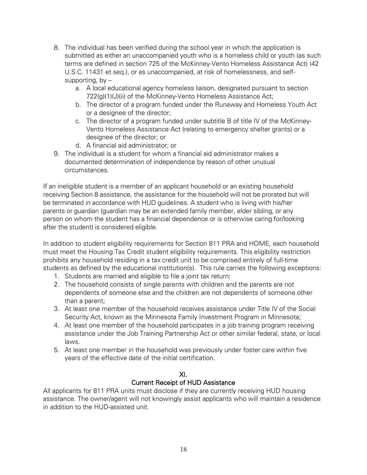- 8. The individual has been verified during the school year in which the application is submitted as either an unaccompanied youth who is a homeless child or youth (as such terms are defined in section 725 of the McKinney-Vento Homeless Assistance Act) (42 U.S.C. 11431 et seq.), or as unaccompanied, at risk of homelessness, and selfsupporting,  $by$ 
	- a. A local educational agency homeless liaison, designated pursuant to section 722(g)(1)(J)(ii) of the McKinney-Vento Homeless Assistance Act;
	- b. The director of a program funded under the Runaway and Homeless Youth Act or a designee of the director;
	- c. The director of a program funded under subtitle B of title IV of the McKinney-Vento Homeless Assistance Act (relating to emergency shelter grants) or a designee of the director; or
	- d. A financial aid administrator; or
- 9. The individual is a student for whom a financial aid administrator makes a documented determination of independence by reason of other unusual circumstances.

If an ineligible student is a member of an applicant household or an existing household receiving Section 8 assistance, the assistance for the household will not be prorated but will be terminated in accordance with HUD guidelines. A student who is living with his/her parents or guardian (guardian may be an extended family member, elder sibling, or any person on whom the student has a financial dependence or is otherwise caring for/looking after the student) is considered eligible.

In addition to student eligibility requirements for Section 811 PRA and HOME, each household must meet the Housing Tax Credit student eligibility requirements. This eligibility restriction prohibits any household residing in a tax credit unit to be comprised entirely of full-time students as defined by the educational institution(s). This rule carries the following exceptions:

- 1. Students are married and eligible to file a joint tax return;
- 2. The household consists of single parents with children and the parents are not dependents of someone else and the children are not dependents of someone other than a parent;
- 3. At least one member of the household receives assistance under Title IV of the Social Security Act, known as the Minnesota Family Investment Program in Minnesota;
- 4. At least one member of the household participates in a job training program receiving assistance under the Job Training Partnership Act or other similar federal, state, or local laws.
- 5. At least one member in the household was previously under foster care within five years of the effective date of the initial certification.

# XI.

# Current Receipt of HUD Assistance

All applicants for 811 PRA units must disclose if they are currently receiving HUD housing assistance. The owner/agent will not knowingly assist applicants who will maintain a residence in addition to the HUD-assisted unit.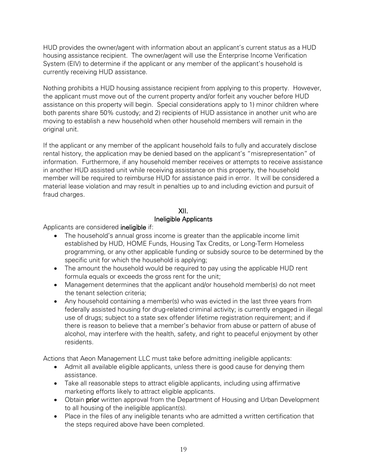HUD provides the owner/agent with information about an applicant's current status as a HUD housing assistance recipient. The owner/agent will use the Enterprise Income Verification System (EIV) to determine if the applicant or any member of the applicant's household is currently receiving HUD assistance.

Nothing prohibits a HUD housing assistance recipient from applying to this property. However, the applicant must move out of the current property and/or forfeit any voucher before HUD assistance on this property will begin. Special considerations apply to 1) minor children where both parents share 50% custody; and 2) recipients of HUD assistance in another unit who are moving to establish a new household when other household members will remain in the original unit.

If the applicant or any member of the applicant household fails to fully and accurately disclose rental history, the application may be denied based on the applicant's "misrepresentation" of information. Furthermore, if any household member receives or attempts to receive assistance in another HUD assisted unit while receiving assistance on this property, the household member will be required to reimburse HUD for assistance paid in error. It will be considered a material lease violation and may result in penalties up to and including eviction and pursuit of fraud charges.

# XII. Ineligible Applicants

Applicants are considered ineligible if:

- The household's annual gross income is greater than the applicable income limit established by HUD, HOME Funds, Housing Tax Credits, or Long-Term Homeless programming, or any other applicable funding or subsidy source to be determined by the specific unit for which the household is applying;
- The amount the household would be required to pay using the applicable HUD rent formula equals or exceeds the gross rent for the unit;
- Management determines that the applicant and/or household member(s) do not meet the tenant selection criteria;
- Any household containing a member(s) who was evicted in the last three years from federally assisted housing for drug-related criminal activity; is currently engaged in illegal use of drugs; subject to a state sex offender lifetime registration requirement; and if there is reason to believe that a member's behavior from abuse or pattern of abuse of alcohol, may interfere with the health, safety, and right to peaceful enjoyment by other residents.

Actions that Aeon Management LLC must take before admitting ineligible applicants:

- Admit all available eligible applicants, unless there is good cause for denying them assistance.
- Take all reasonable steps to attract eligible applicants, including using affirmative marketing efforts likely to attract eligible applicants.
- Obtain prior written approval from the Department of Housing and Urban Development to all housing of the ineligible applicant(s).
- Place in the files of any ineligible tenants who are admitted a written certification that the steps required above have been completed.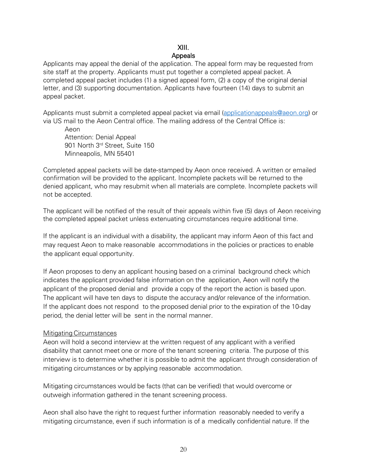#### XIII. Appeals

Applicants may appeal the denial of the application. The appeal form may be requested from site staff at the property. Applicants must put together a completed appeal packet. A completed appeal packet includes (1) a signed appeal form, (2) a copy of the original denial letter, and (3) supporting documentation. Applicants have fourteen (14) days to submit an appeal packet.

Applicants must submit a completed appeal packet via email [\(applicationappeals@aeon.org\)](mailto:applicationappeals@aeon.org) or via US mail to the Aeon Central office. The mailing address of the Central Office is:

Aeon Attention: Denial Appeal 901 North 3rd Street, Suite 150 Minneapolis, MN 55401

Completed appeal packets will be date-stamped by Aeon once received. A written or emailed confirmation will be provided to the applicant. Incomplete packets will be returned to the denied applicant, who may resubmit when all materials are complete. Incomplete packets will not be accepted.

The applicant will be notified of the result of their appeals within five (5) days of Aeon receiving the completed appeal packet unless extenuating circumstances require additional time.

If the applicant is an individual with a disability, the applicant may inform Aeon of this fact and may request Aeon to make reasonable accommodations in the policies or practices to enable the applicant equal opportunity.

If Aeon proposes to deny an applicant housing based on a criminal background check which indicates the applicant provided false information on the application, Aeon will notify the applicant of the proposed denial and provide a copy of the report the action is based upon. The applicant will have ten days to dispute the accuracy and/or relevance of the information. If the applicant does not respond to the proposed denial prior to the expiration of the 10-day period, the denial letter will be sent in the normal manner.

#### Mitigating Circumstances

Aeon will hold a second interview at the written request of any applicant with a verified disability that cannot meet one or more of the tenant screening criteria. The purpose of this interview is to determine whether it is possible to admit the applicant through consideration of mitigating circumstances or by applying reasonable accommodation.

Mitigating circumstances would be facts (that can be verified) that would overcome or outweigh information gathered in the tenant screening process.

Aeon shall also have the right to request further information reasonably needed to verify a mitigating circumstance, even if such information is of a medically confidential nature. If the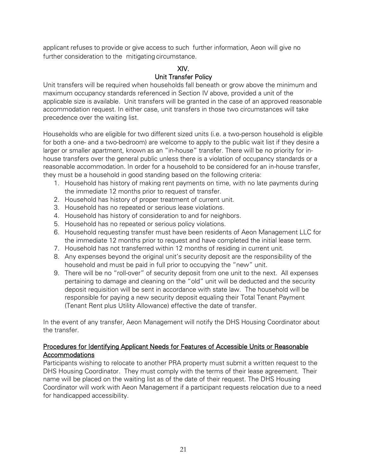applicant refuses to provide or give access to such further information, Aeon will give no further consideration to the mitigating circumstance.

# XIV. Unit Transfer Policy

Unit transfers will be required when households fall beneath or grow above the minimum and maximum occupancy standards referenced in Section IV above, provided a unit of the applicable size is available. Unit transfers will be granted in the case of an approved reasonable accommodation request. In either case, unit transfers in those two circumstances will take precedence over the waiting list.

Households who are eligible for two different sized units (i.e. a two-person household is eligible for both a one- and a two-bedroom) are welcome to apply to the public wait list if they desire a larger or smaller apartment, known as an "in-house" transfer. There will be no priority for inhouse transfers over the general public unless there is a violation of occupancy standards or a reasonable accommodation. In order for a household to be considered for an in-house transfer, they must be a household in good standing based on the following criteria:

- 1. Household has history of making rent payments on time, with no late payments during the immediate 12 months prior to request of transfer.
- 2. Household has history of proper treatment of current unit.
- 3. Household has no repeated or serious lease violations.
- 4. Household has history of consideration to and for neighbors.
- 5. Household has no repeated or serious policy violations.
- 6. Household requesting transfer must have been residents of Aeon Management LLC for the immediate 12 months prior to request and have completed the initial lease term.
- 7. Household has not transferred within 12 months of residing in current unit.
- 8. Any expenses beyond the original unit's security deposit are the responsibility of the household and must be paid in full prior to occupying the "new" unit.
- 9. There will be no "roll-over" of security deposit from one unit to the next. All expenses pertaining to damage and cleaning on the "old" unit will be deducted and the security deposit requisition will be sent in accordance with state law. The household will be responsible for paying a new security deposit equaling their Total Tenant Payment (Tenant Rent plus Utility Allowance) effective the date of transfer.

In the event of any transfer, Aeon Management will notify the DHS Housing Coordinator about the transfer.

# Procedures for Identifying Applicant Needs for Features of Accessible Units or Reasonable Accommodations

Participants wishing to relocate to another PRA property must submit a written request to the DHS Housing Coordinator. They must comply with the terms of their lease agreement. Their name will be placed on the waiting list as of the date of their request. The DHS Housing Coordinator will work with Aeon Management if a participant requests relocation due to a need for handicapped accessibility.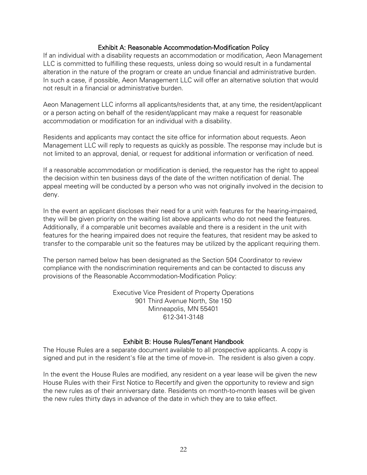#### Exhibit A: Reasonable Accommodation-Modification Policy

If an individual with a disability requests an accommodation or modification, Aeon Management LLC is committed to fulfilling these requests, unless doing so would result in a fundamental alteration in the nature of the program or create an undue financial and administrative burden. In such a case, if possible, Aeon Management LLC will offer an alternative solution that would not result in a financial or administrative burden.

Aeon Management LLC informs all applicants/residents that, at any time, the resident/applicant or a person acting on behalf of the resident/applicant may make a request for reasonable accommodation or modification for an individual with a disability.

Residents and applicants may contact the site office for information about requests. Aeon Management LLC will reply to requests as quickly as possible. The response may include but is not limited to an approval, denial, or request for additional information or verification of need.

If a reasonable accommodation or modification is denied, the requestor has the right to appeal the decision within ten business days of the date of the written notification of denial. The appeal meeting will be conducted by a person who was not originally involved in the decision to deny.

In the event an applicant discloses their need for a unit with features for the hearing-impaired, they will be given priority on the waiting list above applicants who do not need the features. Additionally, if a comparable unit becomes available and there is a resident in the unit with features for the hearing impaired does not require the features, that resident may be asked to transfer to the comparable unit so the features may be utilized by the applicant requiring them.

The person named below has been designated as the Section 504 Coordinator to review compliance with the nondiscrimination requirements and can be contacted to discuss any provisions of the Reasonable Accommodation-Modification Policy:

> Executive Vice President of Property Operations 901 Third Avenue North, Ste 150 Minneapolis, MN 55401 612-341-3148

#### Exhibit B: House Rules/Tenant Handbook

The House Rules are a separate document available to all prospective applicants. A copy is signed and put in the resident's file at the time of move-in. The resident is also given a copy.

In the event the House Rules are modified, any resident on a year lease will be given the new House Rules with their First Notice to Recertify and given the opportunity to review and sign the new rules as of their anniversary date. Residents on month-to-month leases will be given the new rules thirty days in advance of the date in which they are to take effect.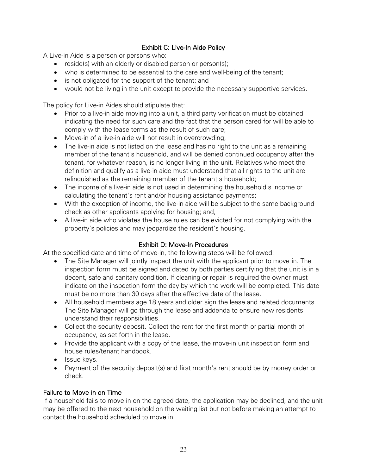# Exhibit C: Live-In Aide Policy

A Live-in Aide is a person or persons who:

- reside(s) with an elderly or disabled person or person(s);
- who is determined to be essential to the care and well-being of the tenant;
- is not obligated for the support of the tenant; and
- would not be living in the unit except to provide the necessary supportive services.

The policy for Live-in Aides should stipulate that:

- Prior to a live-in aide moving into a unit, a third party verification must be obtained indicating the need for such care and the fact that the person cared for will be able to comply with the lease terms as the result of such care;
- Move-in of a live-in aide will not result in overcrowding;
- The live-in aide is not listed on the lease and has no right to the unit as a remaining member of the tenant's household, and will be denied continued occupancy after the tenant, for whatever reason, is no longer living in the unit. Relatives who meet the definition and qualify as a live-in aide must understand that all rights to the unit are relinquished as the remaining member of the tenant's household;
- The income of a live-in aide is not used in determining the household's income or calculating the tenant's rent and/or housing assistance payments;
- With the exception of income, the live-in aide will be subject to the same background check as other applicants applying for housing; and,
- A live-in aide who violates the house rules can be evicted for not complying with the property's policies and may jeopardize the resident's housing.

# Exhibit D: Move-In Procedures

At the specified date and time of move-in, the following steps will be followed:

- The Site Manager will jointly inspect the unit with the applicant prior to move in. The inspection form must be signed and dated by both parties certifying that the unit is in a decent, safe and sanitary condition. If cleaning or repair is required the owner must indicate on the inspection form the day by which the work will be completed. This date must be no more than 30 days after the effective date of the lease.
- All household members age 18 years and older sign the lease and related documents. The Site Manager will go through the lease and addenda to ensure new residents understand their responsibilities.
- Collect the security deposit. Collect the rent for the first month or partial month of occupancy, as set forth in the lease.
- Provide the applicant with a copy of the lease, the move-in unit inspection form and house rules/tenant handbook.
- Issue keys.
- Payment of the security deposit(s) and first month's rent should be by money order or check.

# Failure to Move in on Time

If a household fails to move in on the agreed date, the application may be declined, and the unit may be offered to the next household on the waiting list but not before making an attempt to contact the household scheduled to move in.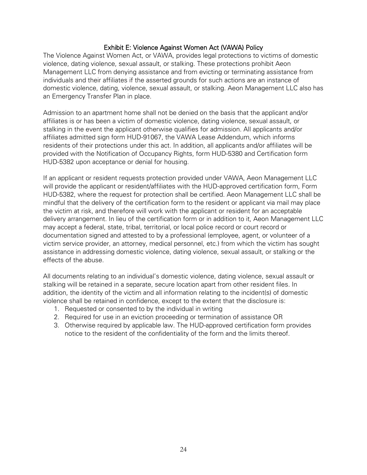### Exhibit E: Violence Against Women Act (VAWA) Policy

The Violence Against Women Act, or VAWA, provides legal protections to victims of domestic violence, dating violence, sexual assault, or stalking. These protections prohibit Aeon Management LLC from denying assistance and from evicting or terminating assistance from individuals and their affiliates if the asserted grounds for such actions are an instance of domestic violence, dating, violence, sexual assault, or stalking. Aeon Management LLC also has an Emergency Transfer Plan in place.

Admission to an apartment home shall not be denied on the basis that the applicant and/or affiliates is or has been a victim of domestic violence, dating violence, sexual assault, or stalking in the event the applicant otherwise qualifies for admission. All applicants and/or affiliates admitted sign form HUD-91067, the VAWA Lease Addendum, which informs residents of their protections under this act. In addition, all applicants and/or affiliates will be provided with the Notification of Occupancy Rights, form HUD-5380 and Certification form HUD-5382 upon acceptance or denial for housing.

If an applicant or resident requests protection provided under VAWA, Aeon Management LLC will provide the applicant or resident/affiliates with the HUD-approved certification form, Form HUD-5382, where the request for protection shall be certified. Aeon Management LLC shall be mindful that the delivery of the certification form to the resident or applicant via mail may place the victim at risk, and therefore will work with the applicant or resident for an acceptable delivery arrangement. In lieu of the certification form or in addition to it, Aeon Management LLC may accept a federal, state, tribal, territorial, or local police record or court record or documentation signed and attested to by a professional (employee, agent, or volunteer of a victim service provider, an attorney, medical personnel, etc.) from which the victim has sought assistance in addressing domestic violence, dating violence, sexual assault, or stalking or the effects of the abuse.

All documents relating to an individual's domestic violence, dating violence, sexual assault or stalking will be retained in a separate, secure location apart from other resident files. In addition, the identity of the victim and all information relating to the incident(s) of domestic violence shall be retained in confidence, except to the extent that the disclosure is:

- 1. Requested or consented to by the individual in writing
- 2. Required for use in an eviction proceeding or termination of assistance OR
- 3. Otherwise required by applicable law. The HUD-approved certification form provides notice to the resident of the confidentiality of the form and the limits thereof.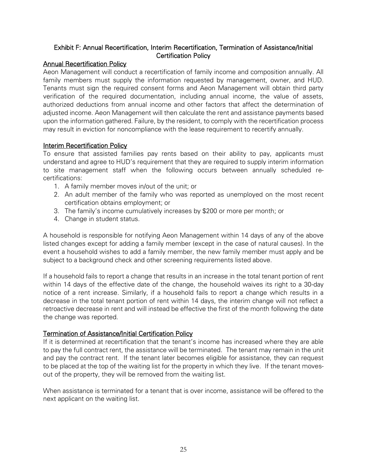# Exhibit F: Annual Recertification, Interim Recertification, Termination of Assistance/Initial Certification Policy

# Annual Recertification Policy

Aeon Management will conduct a recertification of family income and composition annually. All family members must supply the information requested by management, owner, and HUD. Tenants must sign the required consent forms and Aeon Management will obtain third party verification of the required documentation, including annual income, the value of assets, authorized deductions from annual income and other factors that affect the determination of adjusted income. Aeon Management will then calculate the rent and assistance payments based upon the information gathered. Failure, by the resident, to comply with the recertification process may result in eviction for noncompliance with the lease requirement to recertify annually.

# Interim Recertification Policy

To ensure that assisted families pay rents based on their ability to pay, applicants must understand and agree to HUD's requirement that they are required to supply interim information to site management staff when the following occurs between annually scheduled recertifications:

- 1. A family member moves in/out of the unit; or
- 2. An adult member of the family who was reported as unemployed on the most recent certification obtains employment; or
- 3. The family's income cumulatively increases by \$200 or more per month; or
- 4. Change in student status.

A household is responsible for notifying Aeon Management within 14 days of any of the above listed changes except for adding a family member (except in the case of natural causes). In the event a household wishes to add a family member, the new family member must apply and be subject to a background check and other screening requirements listed above.

If a household fails to report a change that results in an increase in the total tenant portion of rent within 14 days of the effective date of the change, the household waives its right to a 30-day notice of a rent increase. Similarly, if a household fails to report a change which results in a decrease in the total tenant portion of rent within 14 days, the interim change will not reflect a retroactive decrease in rent and will instead be effective the first of the month following the date the change was reported.

# Termination of Assistance/Initial Certification Policy

If it is determined at recertification that the tenant's income has increased where they are able to pay the full contract rent, the assistance will be terminated. The tenant may remain in the unit and pay the contract rent. If the tenant later becomes eligible for assistance, they can request to be placed at the top of the waiting list for the property in which they live. If the tenant movesout of the property, they will be removed from the waiting list.

When assistance is terminated for a tenant that is over income, assistance will be offered to the next applicant on the waiting list.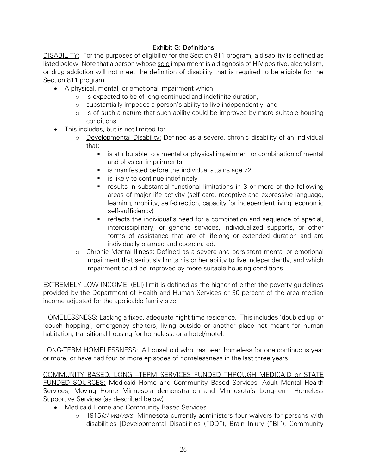# Exhibit G: Definitions

DISABILITY: For the purposes of eligibility for the Section 811 program, a disability is defined as listed below. Note that a person whose sole impairment is a diagnosis of HIV positive, alcoholism, or drug addiction will not meet the definition of disability that is required to be eligible for the Section 811 program.

- A physical, mental, or emotional impairment which
	- o is expected to be of long-continued and indefinite duration,
	- o substantially impedes a person's ability to live independently, and
	- $\circ$  is of such a nature that such ability could be improved by more suitable housing conditions.
- This includes, but is not limited to:
	- o Developmental Disability: Defined as a severe, chronic disability of an individual that:
		- is attributable to a mental or physical impairment or combination of mental and physical impairments
		- is manifested before the individual attains age 22
		- **E** is likely to continue indefinitely
		- results in substantial functional limitations in 3 or more of the following areas of major life activity (self care, receptive and expressive language, learning, mobility, self-direction, capacity for independent living, economic self-sufficiency)
		- **•** reflects the individual's need for a combination and sequence of special, interdisciplinary, or generic services, individualized supports, or other forms of assistance that are of lifelong or extended duration and are individually planned and coordinated.
	- o Chronic Mental Illness: Defined as a severe and persistent mental or emotional impairment that seriously limits his or her ability to live independently, and which impairment could be improved by more suitable housing conditions.

EXTREMELY LOW INCOME: (ELI) limit is defined as the higher of either the poverty guidelines provided by the Department of Health and Human Services or 30 percent of the area median income adjusted for the applicable family size.

HOMELESSNESS: Lacking a fixed, adequate night time residence. This includes 'doubled up' or 'couch hopping'; emergency shelters; living outside or another place not meant for human habitation, transitional housing for homeless, or a hotel/motel.

LONG-TERM HOMELESSNESS: A household who has been homeless for one continuous year or more, or have had four or more episodes of homelessness in the last three years.

COMMUNITY BASED, LONG –TERM SERVICES FUNDED THROUGH MEDICAID or STATE FUNDED SOURCES: Medicaid Home and Community Based Services, Adult Mental Health Services, Moving Home Minnesota demonstration and Minnesota's Long-term Homeless Supportive Services (as described below).

- Medicaid Home and Community Based Services
	- o 1915(c) waivers: Minnesota currently administers four waivers for persons with disabilities [Developmental Disabilities ("DD"), Brain Injury ("BI"), Community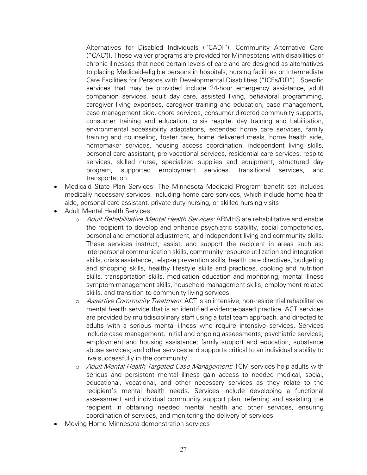Alternatives for Disabled Individuals ("CADI"), Community Alternative Care ("CAC")]. These waiver programs are provided for Minnesotans with disabilities or chronic illnesses that need certain levels of care and are designed as alternatives to placing Medicaid-eligible persons in hospitals, nursing facilities or Intermediate Care Facilities for Persons with Developmental Disabilities ("ICFs/DD"). Specific services that may be provided include 24-hour emergency assistance, adult companion services, adult day care, assisted living, behavioral programming, caregiver living expenses, caregiver training and education, case management, case management aide, chore services, consumer directed community supports, consumer training and education, crisis respite, day training and habilitation, environmental accessibility adaptations, extended home care services, family training and counseling, foster care, home delivered meals, home health aide, homemaker services, housing access coordination, independent living skills, personal care assistant, pre-vocational services, residential care services, respite services, skilled nurse, specialized supplies and equipment, structured day program, supported employment services, transitional services, and transportation.

- Medicaid State Plan Services: The Minnesota Medicaid Program benefit set includes medically necessary services, including home care services, which include home health aide, personal care assistant, private duty nursing, or skilled nursing visits
- Adult Mental Health Services
	- o Adult Rehabilitative Mental Health Services: ARMHS are rehabilitative and enable the recipient to develop and enhance psychiatric stability, social competencies, personal and emotional adjustment, and independent living and community skills. These services instruct, assist, and support the recipient in areas such as: interpersonal communication skills, community resource utilization and integration skills, crisis assistance, relapse prevention skills, health care directives, budgeting and shopping skills, healthy lifestyle skills and practices, cooking and nutrition skills, transportation skills, medication education and monitoring, mental illness symptom management skills, household management skills, employment-related skills, and transition to community living services.
	- o Assertive Community Treatment: ACT is an intensive, non-residential rehabilitative mental health service that is an identified evidence-based practice. ACT services are provided by multidisciplinary staff using a total team approach, and directed to adults with a serious mental illness who require intensive services. Services include case management, initial and ongoing assessments; psychiatric services; employment and housing assistance; family support and education; substance abuse services; and other services and supports critical to an individual's ability to live successfully in the community.
	- o Adult Mental Health Targeted Case Management: TCM services help adults with serious and persistent mental illness gain access to needed medical, social, educational, vocational, and other necessary services as they relate to the recipient's mental health needs. Services include developing a functional assessment and individual community support plan, referring and assisting the recipient in obtaining needed mental health and other services, ensuring coordination of services, and monitoring the delivery of services.
- Moving Home Minnesota demonstration services